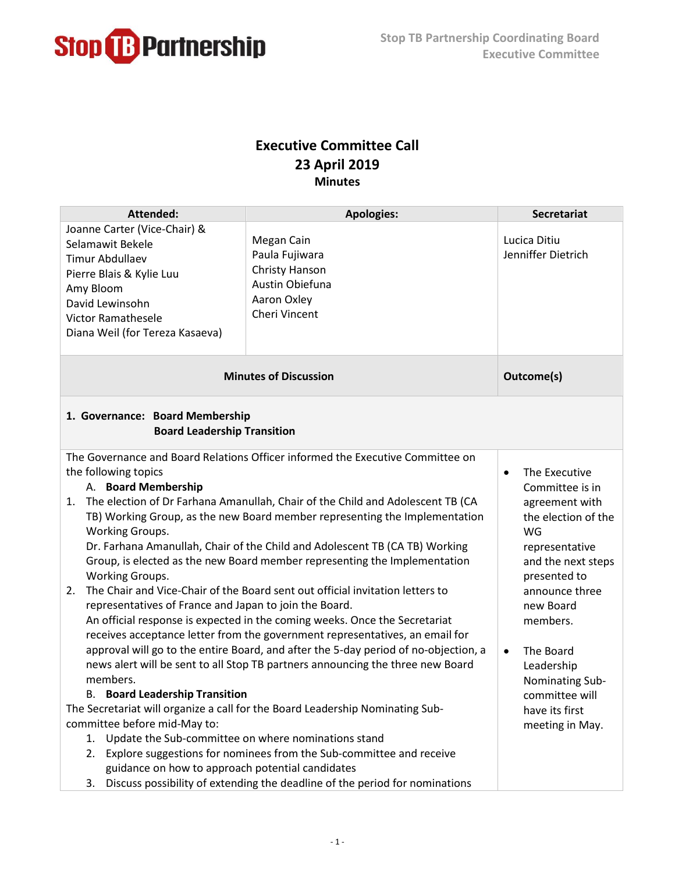

## **Executive Committee Call 23 April 2019 Minutes**

| <b>Attended:</b>                                                                                                                                                                                                                                                                                                                                                                                                                                                                                                                                                                                                                                                                                                                                                                                                                                                                                                                                                                                          | <b>Apologies:</b>                                                                                 | <b>Secretariat</b>                                                                                                                                                                                                                                         |  |  |
|-----------------------------------------------------------------------------------------------------------------------------------------------------------------------------------------------------------------------------------------------------------------------------------------------------------------------------------------------------------------------------------------------------------------------------------------------------------------------------------------------------------------------------------------------------------------------------------------------------------------------------------------------------------------------------------------------------------------------------------------------------------------------------------------------------------------------------------------------------------------------------------------------------------------------------------------------------------------------------------------------------------|---------------------------------------------------------------------------------------------------|------------------------------------------------------------------------------------------------------------------------------------------------------------------------------------------------------------------------------------------------------------|--|--|
| Joanne Carter (Vice-Chair) &<br>Selamawit Bekele<br><b>Timur Abdullaev</b><br>Pierre Blais & Kylie Luu<br>Amy Bloom<br>David Lewinsohn<br><b>Victor Ramathesele</b><br>Diana Weil (for Tereza Kasaeva)                                                                                                                                                                                                                                                                                                                                                                                                                                                                                                                                                                                                                                                                                                                                                                                                    | Megan Cain<br>Paula Fujiwara<br>Christy Hanson<br>Austin Obiefuna<br>Aaron Oxley<br>Cheri Vincent | Lucica Ditiu<br>Jenniffer Dietrich                                                                                                                                                                                                                         |  |  |
| <b>Minutes of Discussion</b>                                                                                                                                                                                                                                                                                                                                                                                                                                                                                                                                                                                                                                                                                                                                                                                                                                                                                                                                                                              |                                                                                                   | Outcome(s)                                                                                                                                                                                                                                                 |  |  |
| 1. Governance: Board Membership<br><b>Board Leadership Transition</b>                                                                                                                                                                                                                                                                                                                                                                                                                                                                                                                                                                                                                                                                                                                                                                                                                                                                                                                                     |                                                                                                   |                                                                                                                                                                                                                                                            |  |  |
| The Governance and Board Relations Officer informed the Executive Committee on<br>the following topics<br>A. Board Membership<br>The election of Dr Farhana Amanullah, Chair of the Child and Adolescent TB (CA<br>1.<br>TB) Working Group, as the new Board member representing the Implementation<br>Working Groups.<br>Dr. Farhana Amanullah, Chair of the Child and Adolescent TB (CA TB) Working<br>Group, is elected as the new Board member representing the Implementation<br>Working Groups.<br>The Chair and Vice-Chair of the Board sent out official invitation letters to<br>2.<br>representatives of France and Japan to join the Board.<br>An official response is expected in the coming weeks. Once the Secretariat<br>receives acceptance letter from the government representatives, an email for<br>approval will go to the entire Board, and after the 5-day period of no-objection, a<br>news alert will be sent to all Stop TB partners announcing the three new Board<br>members. |                                                                                                   | The Executive<br>$\bullet$<br>Committee is in<br>agreement with<br>the election of the<br>WG<br>representative<br>and the next steps<br>presented to<br>announce three<br>new Board<br>members.<br>The Board<br>$\bullet$<br>Leadership<br>Nominating Sub- |  |  |
| <b>B.</b> Board Leadership Transition<br>The Secretariat will organize a call for the Board Leadership Nominating Sub-                                                                                                                                                                                                                                                                                                                                                                                                                                                                                                                                                                                                                                                                                                                                                                                                                                                                                    | committee will<br>have its first                                                                  |                                                                                                                                                                                                                                                            |  |  |
| committee before mid-May to:                                                                                                                                                                                                                                                                                                                                                                                                                                                                                                                                                                                                                                                                                                                                                                                                                                                                                                                                                                              | meeting in May.                                                                                   |                                                                                                                                                                                                                                                            |  |  |
| 1. Update the Sub-committee on where nominations stand                                                                                                                                                                                                                                                                                                                                                                                                                                                                                                                                                                                                                                                                                                                                                                                                                                                                                                                                                    |                                                                                                   |                                                                                                                                                                                                                                                            |  |  |
|                                                                                                                                                                                                                                                                                                                                                                                                                                                                                                                                                                                                                                                                                                                                                                                                                                                                                                                                                                                                           | 2. Explore suggestions for nominees from the Sub-committee and receive                            |                                                                                                                                                                                                                                                            |  |  |
| guidance on how to approach potential candidates                                                                                                                                                                                                                                                                                                                                                                                                                                                                                                                                                                                                                                                                                                                                                                                                                                                                                                                                                          |                                                                                                   |                                                                                                                                                                                                                                                            |  |  |
| 3.                                                                                                                                                                                                                                                                                                                                                                                                                                                                                                                                                                                                                                                                                                                                                                                                                                                                                                                                                                                                        | Discuss possibility of extending the deadline of the period for nominations                       |                                                                                                                                                                                                                                                            |  |  |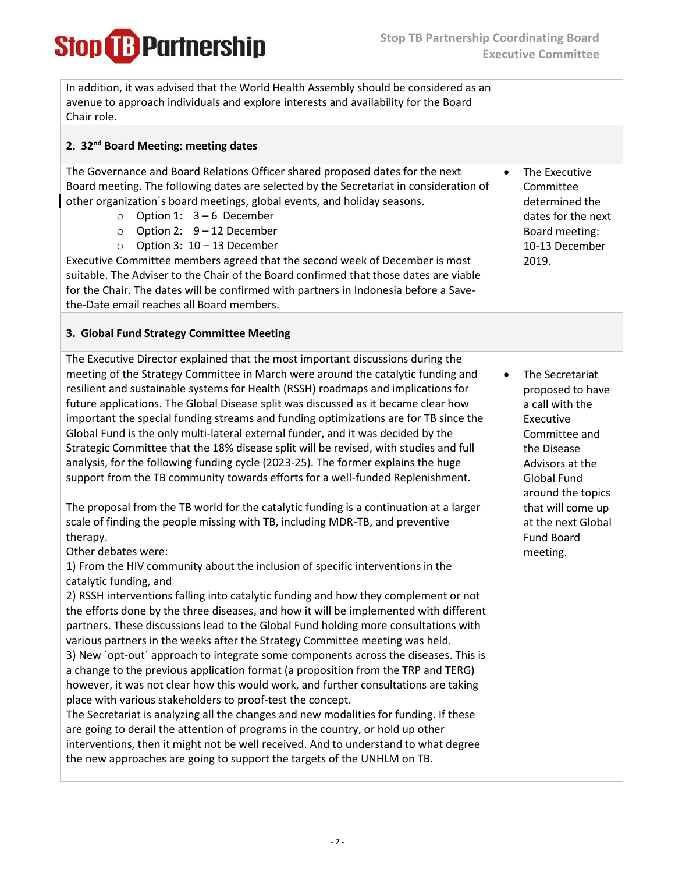**Stop B** Partnership

| In addition, it was advised that the World Health Assembly should be considered as an<br>avenue to approach individuals and explore interests and availability for the Board<br>Chair role.                                                                                                                                                                                                                                                                                                                                                                                                                                                                                                                                                                                                                                                                                                                                                                                                                                                                                                                                                                                                                                                                                                                                                                                                                                                                                                                                                                                                                                                                                                                                                                                                                                                                                                                                                                                                                                                                                                                                                               |                                                                                                                                                                                                                                                            |
|-----------------------------------------------------------------------------------------------------------------------------------------------------------------------------------------------------------------------------------------------------------------------------------------------------------------------------------------------------------------------------------------------------------------------------------------------------------------------------------------------------------------------------------------------------------------------------------------------------------------------------------------------------------------------------------------------------------------------------------------------------------------------------------------------------------------------------------------------------------------------------------------------------------------------------------------------------------------------------------------------------------------------------------------------------------------------------------------------------------------------------------------------------------------------------------------------------------------------------------------------------------------------------------------------------------------------------------------------------------------------------------------------------------------------------------------------------------------------------------------------------------------------------------------------------------------------------------------------------------------------------------------------------------------------------------------------------------------------------------------------------------------------------------------------------------------------------------------------------------------------------------------------------------------------------------------------------------------------------------------------------------------------------------------------------------------------------------------------------------------------------------------------------------|------------------------------------------------------------------------------------------------------------------------------------------------------------------------------------------------------------------------------------------------------------|
| 2. 32 <sup>nd</sup> Board Meeting: meeting dates                                                                                                                                                                                                                                                                                                                                                                                                                                                                                                                                                                                                                                                                                                                                                                                                                                                                                                                                                                                                                                                                                                                                                                                                                                                                                                                                                                                                                                                                                                                                                                                                                                                                                                                                                                                                                                                                                                                                                                                                                                                                                                          |                                                                                                                                                                                                                                                            |
| The Governance and Board Relations Officer shared proposed dates for the next<br>Board meeting. The following dates are selected by the Secretariat in consideration of<br>other organization's board meetings, global events, and holiday seasons.<br>Option 1: $3-6$ December<br>$\circ$<br>Option 2: 9 - 12 December<br>$\circ$<br>Option 3: 10 - 13 December<br>$\circ$<br>Executive Committee members agreed that the second week of December is most<br>suitable. The Adviser to the Chair of the Board confirmed that those dates are viable<br>for the Chair. The dates will be confirmed with partners in Indonesia before a Save-<br>the-Date email reaches all Board members.                                                                                                                                                                                                                                                                                                                                                                                                                                                                                                                                                                                                                                                                                                                                                                                                                                                                                                                                                                                                                                                                                                                                                                                                                                                                                                                                                                                                                                                                  | The Executive<br>$\bullet$<br>Committee<br>determined the<br>dates for the next<br>Board meeting:<br>10-13 December<br>2019.                                                                                                                               |
| 3. Global Fund Strategy Committee Meeting                                                                                                                                                                                                                                                                                                                                                                                                                                                                                                                                                                                                                                                                                                                                                                                                                                                                                                                                                                                                                                                                                                                                                                                                                                                                                                                                                                                                                                                                                                                                                                                                                                                                                                                                                                                                                                                                                                                                                                                                                                                                                                                 |                                                                                                                                                                                                                                                            |
| The Executive Director explained that the most important discussions during the<br>meeting of the Strategy Committee in March were around the catalytic funding and<br>resilient and sustainable systems for Health (RSSH) roadmaps and implications for<br>future applications. The Global Disease split was discussed as it became clear how<br>important the special funding streams and funding optimizations are for TB since the<br>Global Fund is the only multi-lateral external funder, and it was decided by the<br>Strategic Committee that the 18% disease split will be revised, with studies and full<br>analysis, for the following funding cycle (2023-25). The former explains the huge<br>support from the TB community towards efforts for a well-funded Replenishment.<br>The proposal from the TB world for the catalytic funding is a continuation at a larger<br>scale of finding the people missing with TB, including MDR-TB, and preventive<br>therapy.<br>Other debates were:<br>1) From the HIV community about the inclusion of specific interventions in the<br>catalytic funding, and<br>2) RSSH interventions falling into catalytic funding and how they complement or not<br>the efforts done by the three diseases, and how it will be implemented with different<br>partners. These discussions lead to the Global Fund holding more consultations with<br>various partners in the weeks after the Strategy Committee meeting was held.<br>3) New 'opt-out' approach to integrate some components across the diseases. This is<br>a change to the previous application format (a proposition from the TRP and TERG)<br>however, it was not clear how this would work, and further consultations are taking<br>place with various stakeholders to proof-test the concept.<br>The Secretariat is analyzing all the changes and new modalities for funding. If these<br>are going to derail the attention of programs in the country, or hold up other<br>interventions, then it might not be well received. And to understand to what degree<br>the new approaches are going to support the targets of the UNHLM on TB. | The Secretariat<br>$\bullet$<br>proposed to have<br>a call with the<br>Executive<br>Committee and<br>the Disease<br>Advisors at the<br><b>Global Fund</b><br>around the topics<br>that will come up<br>at the next Global<br><b>Fund Board</b><br>meeting. |